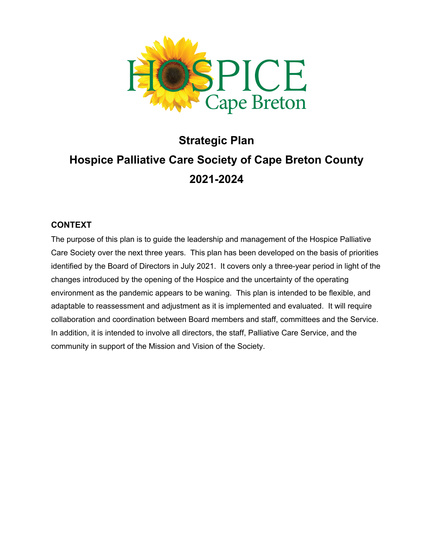

# **Strategic Plan Hospice Palliative Care Society of Cape Breton County 2021-2024**

#### **CONTEXT**

The purpose of this plan is to guide the leadership and management of the Hospice Palliative Care Society over the next three years. This plan has been developed on the basis of priorities identified by the Board of Directors in July 2021. It covers only a three-year period in light of the changes introduced by the opening of the Hospice and the uncertainty of the operating environment as the pandemic appears to be waning. This plan is intended to be flexible, and adaptable to reassessment and adjustment as it is implemented and evaluated. It will require collaboration and coordination between Board members and staff, committees and the Service. In addition, it is intended to involve all directors, the staff, Palliative Care Service, and the community in support of the Mission and Vision of the Society.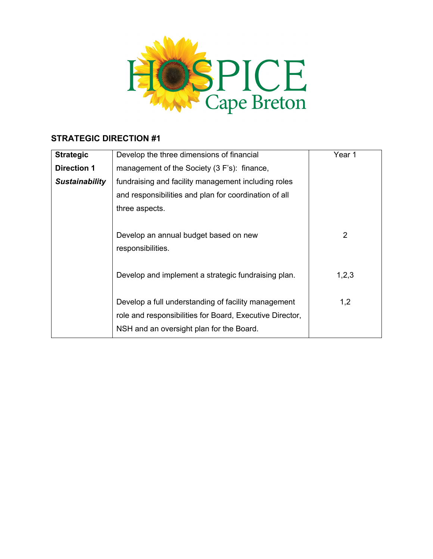

| <b>Strategic</b>      | Develop the three dimensions of financial                | Year 1 |
|-----------------------|----------------------------------------------------------|--------|
| <b>Direction 1</b>    | management of the Society (3 F's): finance,              |        |
| <b>Sustainability</b> | fundraising and facility management including roles      |        |
|                       | and responsibilities and plan for coordination of all    |        |
|                       | three aspects.                                           |        |
|                       |                                                          |        |
|                       | Develop an annual budget based on new                    | 2      |
|                       | responsibilities.                                        |        |
|                       |                                                          |        |
|                       | Develop and implement a strategic fundraising plan.      | 1,2,3  |
|                       |                                                          |        |
|                       | Develop a full understanding of facility management      | 1,2    |
|                       | role and responsibilities for Board, Executive Director, |        |
|                       | NSH and an oversight plan for the Board.                 |        |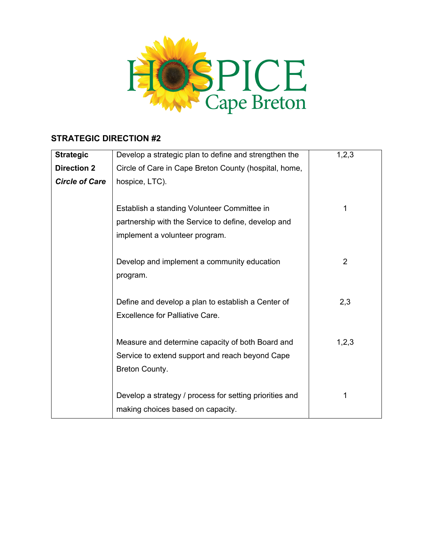

| <b>Strategic</b>      | Develop a strategic plan to define and strengthen the   | 1,2,3          |
|-----------------------|---------------------------------------------------------|----------------|
| <b>Direction 2</b>    | Circle of Care in Cape Breton County (hospital, home,   |                |
| <b>Circle of Care</b> | hospice, LTC).                                          |                |
|                       |                                                         |                |
|                       | Establish a standing Volunteer Committee in             | 1              |
|                       | partnership with the Service to define, develop and     |                |
|                       | implement a volunteer program.                          |                |
|                       |                                                         |                |
|                       | Develop and implement a community education             | $\overline{2}$ |
|                       | program.                                                |                |
|                       |                                                         |                |
|                       | Define and develop a plan to establish a Center of      | 2,3            |
|                       | Excellence for Palliative Care.                         |                |
|                       |                                                         |                |
|                       | Measure and determine capacity of both Board and        | 1,2,3          |
|                       | Service to extend support and reach beyond Cape         |                |
|                       | Breton County.                                          |                |
|                       |                                                         |                |
|                       | Develop a strategy / process for setting priorities and | 1              |
|                       | making choices based on capacity.                       |                |
|                       |                                                         |                |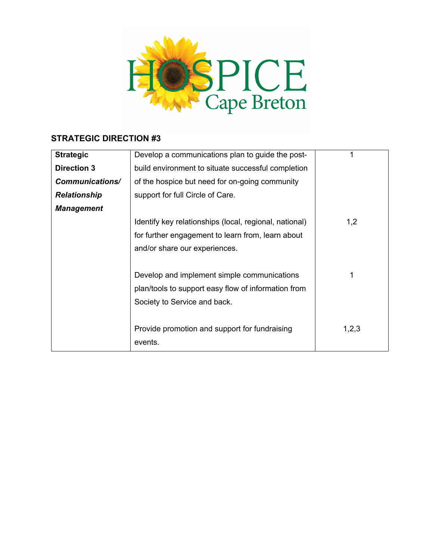

| <b>Strategic</b>    | Develop a communications plan to guide the post-       |       |
|---------------------|--------------------------------------------------------|-------|
| <b>Direction 3</b>  | build environment to situate successful completion     |       |
| Communications/     | of the hospice but need for on-going community         |       |
| <b>Relationship</b> | support for full Circle of Care.                       |       |
| <b>Management</b>   |                                                        |       |
|                     | Identify key relationships (local, regional, national) | 1,2   |
|                     | for further engagement to learn from, learn about      |       |
|                     | and/or share our experiences.                          |       |
|                     |                                                        |       |
|                     | Develop and implement simple communications            |       |
|                     | plan/tools to support easy flow of information from    |       |
|                     | Society to Service and back.                           |       |
|                     |                                                        |       |
|                     | Provide promotion and support for fundraising          | 1,2,3 |
|                     | events.                                                |       |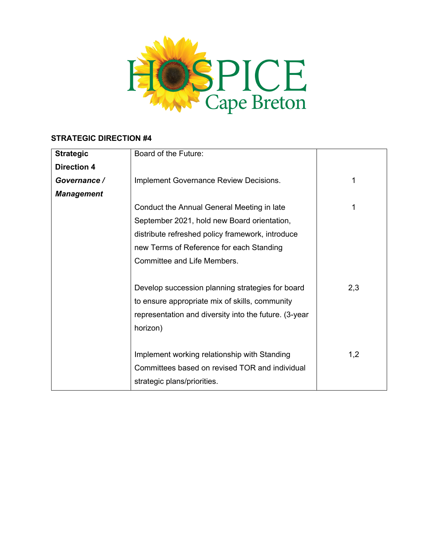

| <b>Strategic</b>   | Board of the Future:                                  |     |
|--------------------|-------------------------------------------------------|-----|
| <b>Direction 4</b> |                                                       |     |
| Governance /       | Implement Governance Review Decisions.                | 1   |
| <b>Management</b>  |                                                       |     |
|                    | Conduct the Annual General Meeting in late            | 1   |
|                    | September 2021, hold new Board orientation,           |     |
|                    | distribute refreshed policy framework, introduce      |     |
|                    | new Terms of Reference for each Standing              |     |
|                    | Committee and Life Members.                           |     |
|                    |                                                       |     |
|                    | Develop succession planning strategies for board      | 2,3 |
|                    | to ensure appropriate mix of skills, community        |     |
|                    | representation and diversity into the future. (3-year |     |
|                    | horizon)                                              |     |
|                    |                                                       |     |
|                    | Implement working relationship with Standing          | 1,2 |
|                    | Committees based on revised TOR and individual        |     |
|                    | strategic plans/priorities.                           |     |